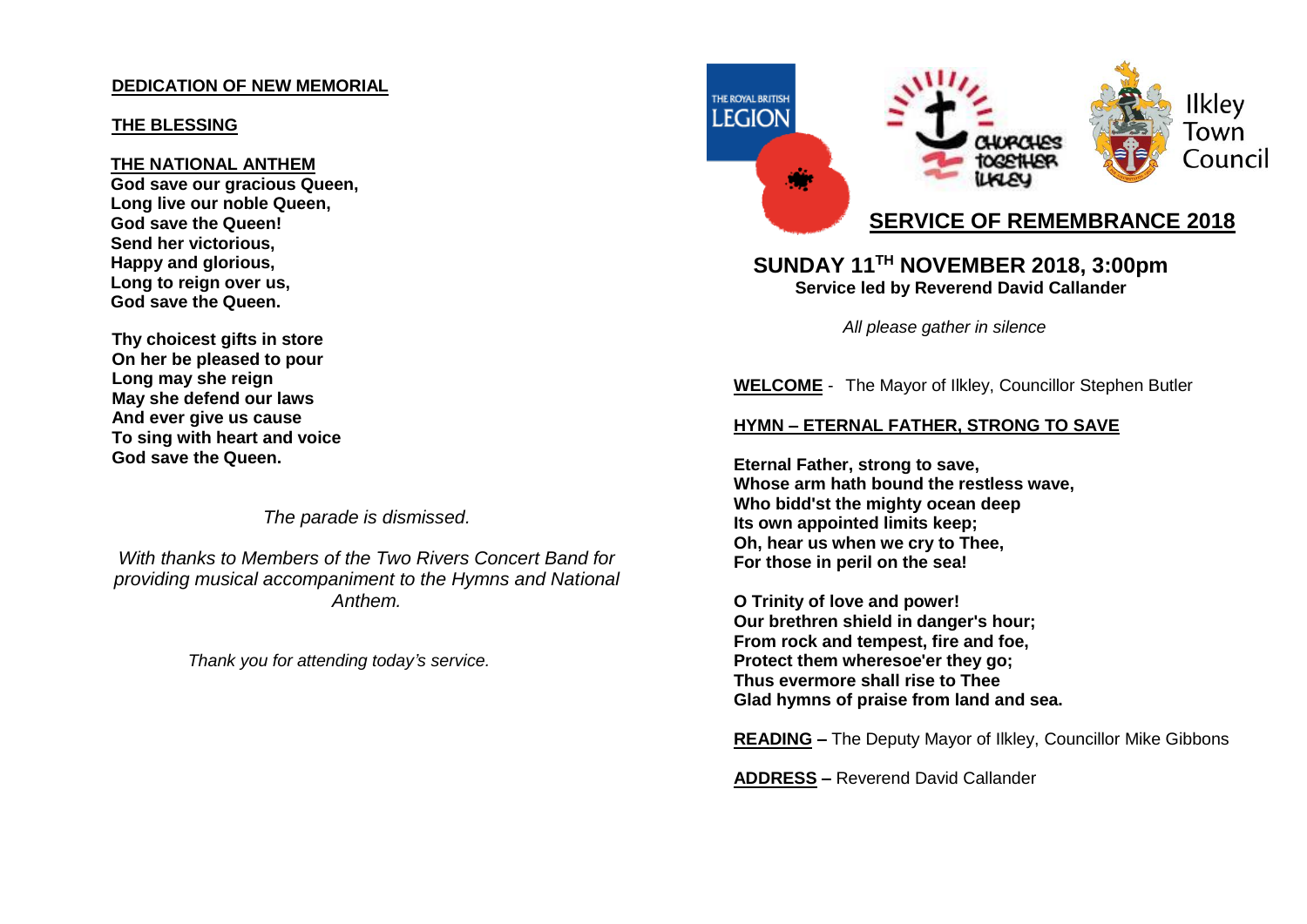### **DEDICATION OF NEW MEMORIAL**

#### **THE BLESSING**

#### **THE NATIONAL ANTHEM**

**God save our gracious Queen, Long live our noble Queen, God save the Queen! Send her victorious, Happy and glorious, Long to reign over us, God save the Queen.**

**Thy choicest gifts in store On her be pleased to pour Long may she reign May she defend our laws And ever give us cause To sing with heart and voice God save the Queen.**

*The parade is dismissed.*

*With thanks to Members of the Two Rivers Concert Band for providing musical accompaniment to the Hymns and National Anthem.*

*Thank you for attending today's service.*



# **SERVICE OF REMEMBRANCE 2018**

### **SUNDAY 11 TH NOVEMBER 2018, 3:00pm Service led by Reverend David Callander**

 *All please gather in silence*

**WELCOME** - The Mayor of Ilkley, Councillor Stephen Butler

### **HYMN – ETERNAL FATHER, STRONG TO SAVE**

**Eternal Father, strong to save, Whose arm hath bound the restless wave, Who bidd'st the mighty ocean deep Its own appointed limits keep; Oh, hear us when we cry to Thee, For those in peril on the sea!**

**O Trinity of love and power! Our brethren shield in danger's hour; From rock and tempest, fire and foe, Protect them wheresoe'er they go; Thus evermore shall rise to Thee Glad hymns of praise from land and sea.**

**READING –** The Deputy Mayor of Ilkley, Councillor Mike Gibbons

**ADDRESS –** Reverend David Callander